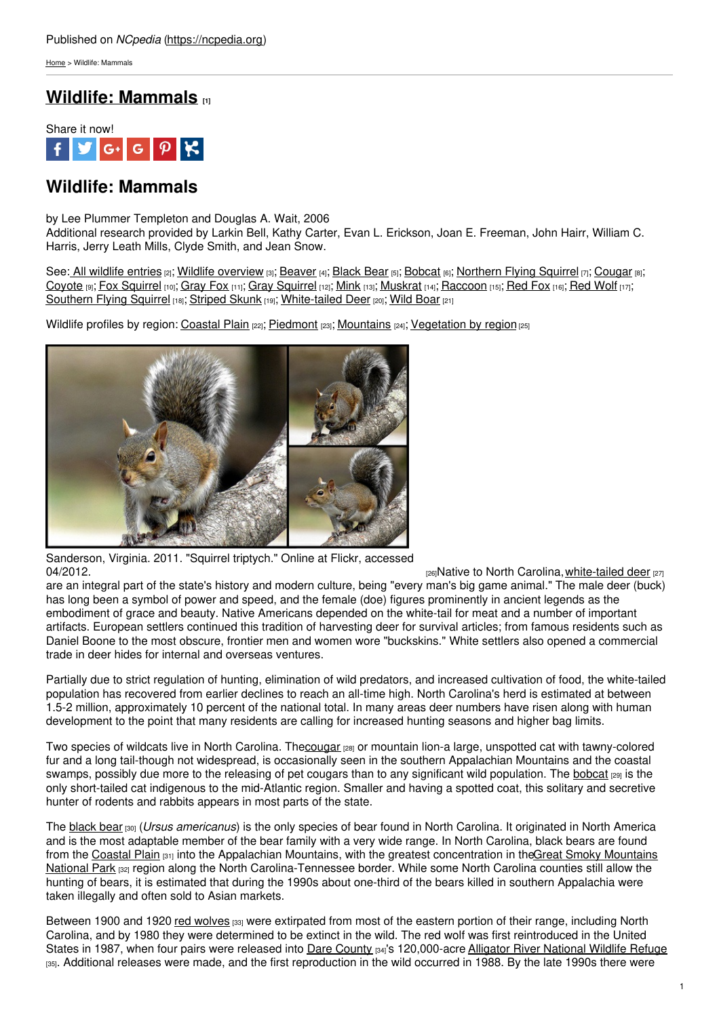[Home](https://ncpedia.org/) > Wildlife: Mammals

## **Wildlife: [Mammals](https://ncpedia.org/wildlife/mammals) [1]**



# **Wildlife: Mammals**

by Lee Plummer Templeton and Douglas A. Wait, 2006 Additional research provided by Larkin Bell, Kathy Carter, Evan L. Erickson, Joan E. Freeman, John Hairr, William C.

Harris, Jerry Leath Mills, Clyde Smith, and Jean Snow. See: All [wildlife](https://ncpedia.org/category/subjects/wildlife) entries [2]; Wildlife [overview](https://ncpedia.org/wildlife/overview) [3]; [Beaver](https://ncpedia.org/wildlife/beaver) [4]; [Black](https://ncpedia.org/wildlife/black-bear) Bear [5]; [Bobcat](https://ncpedia.org/wildlife/bobcat) [6]; [Northern](https://ncpedia.org/wildlife/carolina_northern_flying_squirrel) Flying Squirrel [7]; [Cougar](https://ncpedia.org/wildlife/cougar) [8]; [Coyote](https://ncpedia.org/wildlife/coyote) [9]; Fox [Squirrel](https://ncpedia.org/symbols/mammal) [10]; [Gray](https://ncpedia.org/wildlife/gray_fox) Fox [11]; Gray Squirrel [12]; [Mink](https://ncpedia.org/wildlife/mink) [13]; [Muskrat](https://ncpedia.org/wildlife/muskrat) [14]; [Raccoon](https://ncpedia.org/wildlife/raccoon) [15]; [Red](https://ncpedia.org/wildlife/red_fox) Fox [16]; Red [Wolf](https://ncpedia.org/wildlife/red_wolf) [17];

[Southern](https://ncpedia.org/wildlife/southern-flying-squirrel) Flying Squirrel [18]; [Striped](https://ncpedia.org/wildlife/striped-skunk) Skunk [19]; [White-tailed](https://ncpedia.org/wildlife/white-tailed-deer) Deer [20]; Wild [Boar](https://ncpedia.org/wildlife/wild-boar) [21]

Wildlife profiles by region: [Coastal](https://ncpedia.org/wildlife/coastal-plain) Plain [22]; [Piedmont](http://www.social9.com) [23]; [Mountains](https://ncpedia.org/wildlife/mountains) [24]; [Vegetation](https://ncpedia.org/vegetation) by region [25]



Sanderson, Virginia. 2011. "Squirrel triptych." Online at Flickr, accessed [04/2012.](https://www.flickr.com/photos/vsanderson/5327618836/)  $\frac{1}{26}$ Native to North Carolina, [white-tailed](https://ncpedia.org/white-tailed-deer-nc-wins) deer [27]

are an integral part of the state's history and modern culture, being "every man's big game animal." The male deer (buck) has long been a symbol of power and speed, and the female (doe) figures prominently in ancient legends as the embodiment of grace and beauty. Native Americans depended on the white-tail for meat and a number of important artifacts. European settlers continued this tradition of harvesting deer for survival articles; from famous residents such as Daniel Boone to the most obscure, frontier men and women wore "buckskins." White settlers also opened a commercial trade in deer hides for internal and overseas ventures.

Partially due to strict regulation of hunting, elimination of wild predators, and increased cultivation of food, the white-tailed population has recovered from earlier declines to reach an all-time high. North Carolina's herd is estimated at between 1.5-2 million, approximately 10 percent of the national total. In many areas deer numbers have risen along with human development to the point that many residents are calling for increased hunting seasons and higher bag limits.

Two species of wildcats live in North Carolina. Th[ecougar](https://ncpedia.org/cougar-nc-wins) [28] or mountain lion-a large, unspotted cat with tawny-colored fur and a long tail-though not widespread, is occasionally seen in the southern Appalachian Mountains and the coastal swamps, possibly due more to the releasing of pet cougars than to any significant wild population. The [bobcat](https://ncpedia.org/bobcat-nc-wins) real is the only short-tailed cat indigenous to the mid-Atlantic region. Smaller and having a spotted coat, this solitary and secretive hunter of rodents and rabbits appears in most parts of the state.

The [black](https://ncpedia.org/black-bear-nc-wins) bear [30] (*Ursus americanus*) is the only species of bear found in North Carolina. It originated in North America and is the most adaptable member of the bear family with a very wide range. In North Carolina, black bears are found from the [Coastal](https://ncpedia.org/geography/region/coastal-plain) Plain  $_{[31]}$  into the Appalachian Mountains, with the greatest concentration in theGreat Smoky Mountains National Park [32] region along the North [Carolina-Tennessee](https://ncpedia.org/great-smoky-mountains-national-park) border. While some North Carolina counties still allow the hunting of bears, it is estimated that during the 1990s about one-third of the bears killed in southern Appalachia were taken illegally and often sold to Asian markets.

Between 1900 and 1920 red [wolves](https://ncpedia.org/red-wolf-nc-wins) [33] were extirpated from most of the eastern portion of their range, including North Carolina, and by 1980 they were determined to be extinct in the wild. The red wolf was first reintroduced in the United States in 1987, when four pairs were released into Dare [County](https://ncpedia.org/geography/dare) <sub>[34]</sub>'s 120,000-acre Alligator River [National](http://www.fws.gov/alligatorriver/) Wildlife Refuge [35]. Additional releases were made, and the first reproduction in the wild occurred in 1988. By the late 1990s there were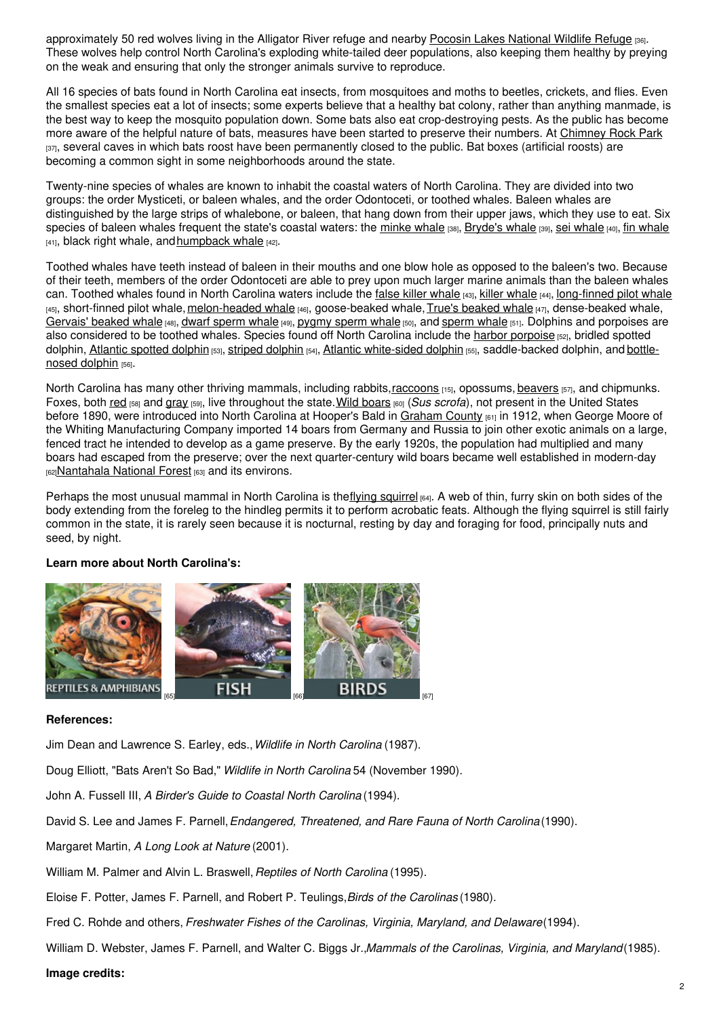approximately 50 red wolves living in the Alligator River refuge and nearby Pocosin Lakes [National](http://www.fws.gov/pocosinlakes/) Wildlife Refuge [36]. These wolves help control North Carolina's exploding white-tailed deer populations, also keeping them healthy by preying on the weak and ensuring that only the stronger animals survive to reproduce.

All 16 species of bats found in North Carolina eat insects, from mosquitoes and moths to beetles, crickets, and flies. Even the smallest species eat a lot of insects; some experts believe that a healthy bat colony, rather than anything manmade, is the best way to keep the mosquito population down. Some bats also eat crop-destroying pests. As the public has become more aware of the helpful nature of bats, measures have been started to preserve their numbers. At [Chimney](http://www.ncparks.gov/Visit/parks/chro/main.php) Rock Park [37], several caves in which bats roost have been permanently closed to the public. Bat boxes (artificial roosts) are becoming a common sight in some neighborhoods around the state.

Twenty-nine species of whales are known to inhabit the coastal waters of North Carolina. They are divided into two groups: the order Mysticeti, or baleen whales, and the order Odontoceti, or toothed whales. Baleen whales are distinguished by the large strips of whalebone, or baleen, that hang down from their upper jaws, which they use to eat. Six species of baleen whales frequent the state's coastal waters: the [minke](http://www.nmfs.noaa.gov/pr/species/mammals/cetaceans/minkewhale.htm) whale [38], [Bryde's](http://www.nmfs.noaa.gov/pr/species/mammals/cetaceans/brydeswhale.htm) [whale](http://www.nmfs.noaa.gov/pr/species/mammals/cetaceans/finwhale.htm) [39], sei whale [40], fin whale  $[41]$ , black right whale, and [humpback](http://www.nmfs.noaa.gov/pr/species/mammals/cetaceans/humpbackwhale.htm) whale  $[42]$ .

Toothed whales have teeth instead of baleen in their mouths and one blow hole as opposed to the baleen's two. Because of their teeth, members of the order Odontoceti are able to prey upon much larger marine animals than the baleen whales can. Toothed [whale](http://www.nmfs.noaa.gov/pr/species/mammals/cetaceans/killerwhale.htm)s found in North Carolina waters include the false killer whale [43], killer whale [44], [long-finned](http://www.nmfs.noaa.gov/pr/species/mammals/cetaceans/pilotwhale_longfinned.htm) pilot whale  $_{[45]}$ , short-finned pilot whale, [melon-headed](http://www.nmfs.noaa.gov/pr/species/mammals/cetaceans/melonheadedwhale.htm) whale  $_{[46]}$ , goose-[beaked](http://www.nmfs.noaa.gov/pr/species/mammals/cetaceans/beakedwhale_trues.htm) whale, True's beaked whale  $_{[47]}$ , dense-beaked whale, [Gervais'](http://www.nmfs.noaa.gov/pr/species/mammals/cetaceans/beakedwhale_gervais.htm) beaked whale [48], dwarf [sperm](http://www.nmfs.noaa.gov/pr/species/mammals/cetaceans/spermwhale.htm) whale [49], [pygmy](http://www.nmfs.noaa.gov/pr/species/mammals/cetaceans/pygmyspermwhale.htm) sperm whale [50], and sperm whale [51]. Dolphins and porpoises are also considered to be toothed whales. Species found off North Carolina include the harbor [porpoise](http://www.nmfs.noaa.gov/pr/species/mammals/cetaceans/harborporpoise.htm) [52], bridled spotted dolphin, Atlantic [spotted](http://www.nmfs.noaa.gov/pr/species/mammals/cetaceans/spotteddolphin_atlantic.htm) [dolphin](http://www.nmfs.noaa.gov/pr/species/mammals/cetaceans/stripeddolphin.htm) [53], striped dolphin [54], Atlantic [white-sided](http://www.nmfs.noaa.gov/pr/species/mammals/cetaceans/whitesideddolphin_atlantic.htm) dolphin [55], [saddle-backed](http://www.nmfs.noaa.gov/pr/species/mammals/cetaceans/bottlenosedolphin.htm) dolphin, and bottlenosed dolphin [56].

North Carolina has many other thriving mammals, including rabbits, [raccoons](https://ncpedia.org/wildlife/raccoon) [15], opossums, [beavers](https://ncpedia.org/beaver-nc-wins) [57], and chipmunks. Foxes, both [red](https://ncpedia.org/red-fox-nc-wins) [58] and [gray](https://ncpedia.org/gray-fox-nc-wins) [59], live throughout the state.Wild [boars](https://ncpedia.org/wild-boar-nc-wins) [60] (*Sus scrofa*), not present in the United States before 1890, were introduced into North Carolina at Hooper's Bald in [Graham](https://ncpedia.org/geography/graham) County [61] in 1912, when George Moore of the Whiting Manufacturing Company imported 14 boars from Germany and Russia to join other exotic animals on a large, fenced tract he intended to develop as a game preserve. By the early 1920s, the population had multiplied and many boars had escaped from the preserve; over the next quarter-century wild boars became well established in modern-day [62][Nantahala](https://ncpedia.org/nantahala-national-forest) National Forest [63] and its environs.

Perhaps the most unusual mammal in North Carolina is theflying [squirrel](https://ncpedia.org/southern-flying-squirrel-nc-wins) [64]. A web of thin, furry skin on both sides of the body extending from the foreleg to the hindleg permits it to perform acrobatic feats. Although the flying squirrel is still fairly common in the state, it is rarely seen because it is nocturnal, resting by day and foraging for food, principally nuts and seed, by night.

### **Learn more about North Carolina's:**



### **References:**

Jim Dean and Lawrence S. Earley, eds.,*Wildlife in North Carolina* (1987).

Doug Elliott, "Bats Aren't So Bad," *Wildlife in North Carolina* 54 (November 1990).

John A. Fussell III, *A Birder's Guide to Coastal North Carolina* (1994).

David S. Lee and James F. Parnell,*Endangered, Threatened, and Rare Fauna of North Carolina*(1990).

Margaret Martin, *A Long Look at Nature* (2001).

William M. Palmer and Alvin L. Braswell,*Reptiles of North Carolina* (1995).

Eloise F. Potter, James F. Parnell, and Robert P. Teulings,*Birds of the Carolinas* (1980).

Fred C. Rohde and others, *Freshwater Fishes of the Carolinas, Virginia, Maryland, and Delaware*(1994).

William D. Webster, James F. Parnell, and Walter C. Biggs Jr.,*Mammals of the Carolinas, Virginia, and Maryland*(1985).

#### **Image credits:**